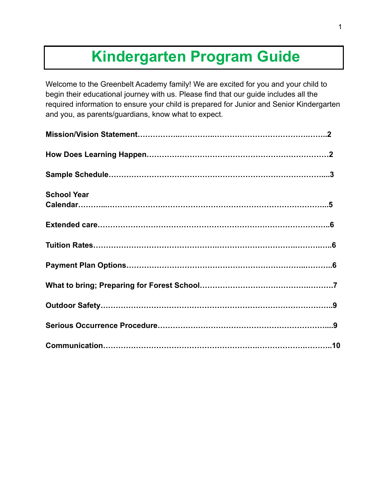# **Kindergarten Program Guide**

Welcome to the Greenbelt Academy family! We are excited for you and your child to begin their educational journey with us. Please find that our guide includes all the required information to ensure your child is prepared for Junior and Senior Kindergarten and you, as parents/guardians, know what to expect.

| <b>School Year</b> |  |
|--------------------|--|
|                    |  |
|                    |  |
|                    |  |
|                    |  |
|                    |  |
|                    |  |
|                    |  |
|                    |  |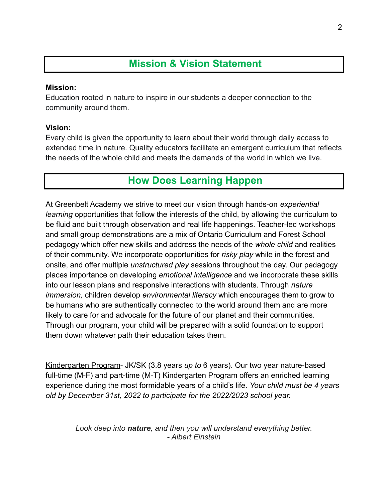# **Mission & Vision Statement**

### **Mission:**

Education rooted in nature to inspire in our students a deeper connection to the community around them.

### **Vision:**

Every child is given the opportunity to learn about their world through daily access to extended time in nature. Quality educators facilitate an emergent curriculum that reflects the needs of the whole child and meets the demands of the world in which we live.

# **How Does Learning Happen**

At Greenbelt Academy we strive to meet our vision through hands-on *experiential learning* opportunities that follow the interests of the child, by allowing the curriculum to be fluid and built through observation and real life happenings. Teacher-led workshops and small group demonstrations are a mix of Ontario Curriculum and Forest School pedagogy which offer new skills and address the needs of the *whole child* and realities of their community. We incorporate opportunities for *risky play* while in the forest and onsite, and offer multiple *unstructured play* sessions throughout the day. Our pedagogy places importance on developing *emotional intelligence* and we incorporate these skills into our lesson plans and responsive interactions with students. Through *nature immersion,* children develop *environmental literacy* which encourages them to grow to be humans who are authentically connected to the world around them and are more likely to care for and advocate for the future of our planet and their communities. Through our program, your child will be prepared with a solid foundation to support them down whatever path their education takes them.

Kindergarten Program- JK/SK (3.8 years *up to* 6 years). Our two year nature-based full-time (M-F) and part-time (M-T) Kindergarten Program offers an enriched learning experience during the most formidable years of a child's life. *Your child must be 4 years old by December 31st, 2022 to participate for the 2022/2023 school year.*

> *Look deep into nature, and then you will understand everything better. - Albert Einstein*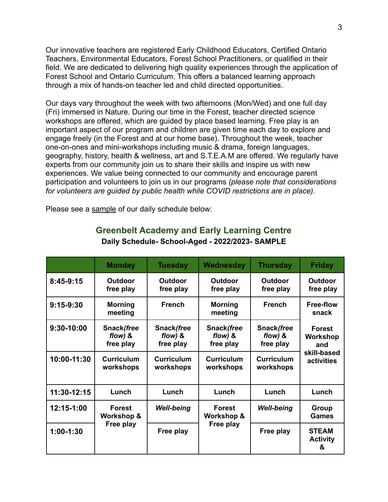Our innovative teachers are registered Early Childhood Educators, Certified Ontario Teachers, Environmental Educators, Forest School Practitioners, or qualified in their field. We are dedicated to delivering high quality experiences through the application of Forest School and Ontario Curriculum. This offers a balanced learning approach through a mix of hands-on teacher led and child directed opportunities.

Our days vary throughout the week with two afternoons (Mon/Wed) and one full day (Fri) immersed in Nature. During our time in the Forest, teacher directed science workshops are offered, which are guided by place based learning. Free play is an important aspect of our program and children are given time each day to explore and engage freely (in the Forest and at our home base). Throughout the week, teacher one-on-ones and mini-workshops including music & drama, foreign languages, geography, history, health & wellness, art and S.T.E.A.M are offered. We regularly have experts from our community join us to share their skills and inspire us with new experiences. We value being connected to our community and encourage parent participation and volunteers to join us in our programs *(please note that considerations for volunteers are guided by public health while COVID restrictions are in place).*

Please see a sample of our daily schedule below:

|             | <b>Monday</b>                            | <b>Tuesday</b>                       | Wednesday                            | <b>Thursday</b>                      | <b>Friday</b>                                                        |
|-------------|------------------------------------------|--------------------------------------|--------------------------------------|--------------------------------------|----------------------------------------------------------------------|
| 8:45-9:15   | <b>Outdoor</b><br>free play              | <b>Outdoor</b><br>free play          | <b>Outdoor</b><br>free play          | <b>Outdoor</b><br>free play          | <b>Outdoor</b><br>free play                                          |
| $9:15-9:30$ | <b>Morning</b><br>meeting                | <b>French</b>                        | <b>Morning</b><br>meeting            | <b>French</b>                        | <b>Free-flow</b><br>snack                                            |
| 9:30-10:00  | Snack(free<br>flow) $8$<br>free play     | Snack(free<br>flow) $8$<br>free play | Snack(free<br>flow) $8$<br>free play | Snack(free<br>flow) $8$<br>free play | <b>Forest</b><br><b>Workshop</b><br>and<br>skill-based<br>activities |
| 10:00-11:30 | <b>Curriculum</b><br>workshops           | <b>Curriculum</b><br>workshops       | <b>Curriculum</b><br>workshops       | <b>Curriculum</b><br>workshops       |                                                                      |
| 11:30-12:15 | Lunch                                    | Lunch                                | Lunch                                | Lunch                                | Lunch                                                                |
| 12:15-1:00  | <b>Forest</b><br>Workshop &<br>Free play | <b>Well-being</b>                    | <b>Forest</b><br>Workshop &          | <b>Well-being</b>                    | Group<br><b>Games</b>                                                |
| $1:00-1:30$ |                                          | Free play                            | Free play                            | Free play                            | <b>STEAM</b><br><b>Activity</b><br>&                                 |

### **Greenbelt Academy and Early Learning Centre Daily Schedule- School-Aged - 2022/2023- SAMPLE**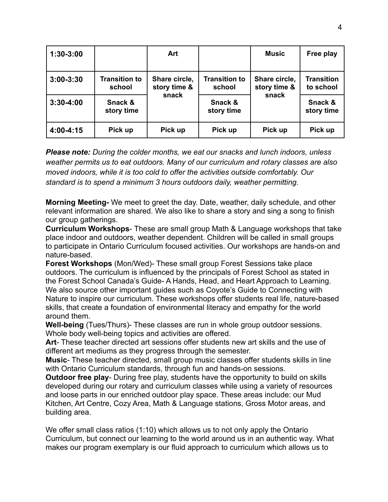| $1:30-3:00$   |                                | Art                           |                                | <b>Music</b>                  | Free play                      |
|---------------|--------------------------------|-------------------------------|--------------------------------|-------------------------------|--------------------------------|
| $3:00 - 3:30$ | <b>Transition to</b><br>school | Share circle,<br>story time & | <b>Transition to</b><br>school | Share circle,<br>story time & | <b>Transition</b><br>to school |
| $3:30 - 4:00$ | Snack &<br>story time          | snack                         | Snack &<br>story time          | snack                         | Snack &<br>story time          |
| 4:00-4:15     | Pick up                        | Pick up                       | Pick up                        | Pick up                       | Pick up                        |

*Please note: During the colder months, we eat our snacks and lunch indoors, unless weather permits us to eat outdoors. Many of our curriculum and rotary classes are also moved indoors, while it is too cold to offer the activities outside comfortably. Our standard is to spend a minimum 3 hours outdoors daily, weather permitting.*

**Morning Meeting-** We meet to greet the day. Date, weather, daily schedule, and other relevant information are shared. We also like to share a story and sing a song to finish our group gatherings.

**Curriculum Workshops**- These are small group Math & Language workshops that take place indoor and outdoors, weather dependent. Children will be called in small groups to participate in Ontario Curriculum focused activities. Our workshops are hands-on and nature-based.

**Forest Workshops** (Mon/Wed)- These small group Forest Sessions take place outdoors. The curriculum is influenced by the principals of Forest School as stated in the Forest School Canada's Guide- A Hands, Head, and Heart Approach to Learning. We also source other important guides such as Coyote's Guide to Connecting with Nature to inspire our curriculum. These workshops offer students real life, nature-based skills, that create a foundation of environmental literacy and empathy for the world around them.

**Well-being** (Tues/Thurs)- These classes are run in whole group outdoor sessions. Whole body well-being topics and activities are offered.

**Art**- These teacher directed art sessions offer students new art skills and the use of different art mediums as they progress through the semester.

**Music**- These teacher directed, small group music classes offer students skills in line with Ontario Curriculum standards, through fun and hands-on sessions.

**Outdoor free play**- During free play, students have the opportunity to build on skills developed during our rotary and curriculum classes while using a variety of resources and loose parts in our enriched outdoor play space. These areas include: our Mud Kitchen, Art Centre, Cozy Area, Math & Language stations, Gross Motor areas, and building area.

We offer small class ratios (1:10) which allows us to not only apply the Ontario Curriculum, but connect our learning to the world around us in an authentic way. What makes our program exemplary is our fluid approach to curriculum which allows us to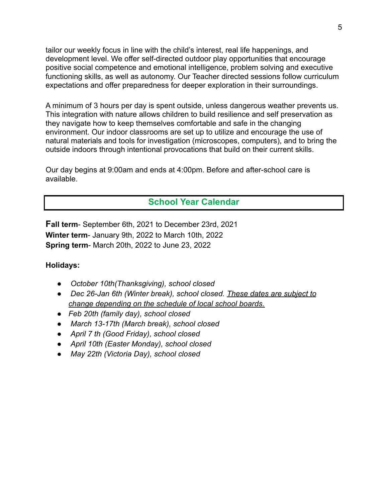tailor our weekly focus in line with the child's interest, real life happenings, and development level. We offer self-directed outdoor play opportunities that encourage positive social competence and emotional intelligence, problem solving and executive functioning skills, as well as autonomy. Our Teacher directed sessions follow curriculum expectations and offer preparedness for deeper exploration in their surroundings.

A minimum of 3 hours per day is spent outside, unless dangerous weather prevents us. This integration with nature allows children to build resilience and self preservation as they navigate how to keep themselves comfortable and safe in the changing environment. Our indoor classrooms are set up to utilize and encourage the use of natural materials and tools for investigation (microscopes, computers), and to bring the outside indoors through intentional provocations that build on their current skills.

Our day begins at 9:00am and ends at 4:00pm. Before and after-school care is available.

### **School Year Calendar**

**Fall term**- September 6th, 2021 to December 23rd, 2021 **Winter term**- January 9th, 2022 to March 10th, 2022 **Spring term**- March 20th, 2022 to June 23, 2022

### **Holidays:**

- *● October 10th(Thanksgiving), school closed*
- *● Dec 26-Jan 6th (Winter break), school closed. These dates are subject to change depending on the schedule of local school boards.*
- *● Feb 20th (family day), school closed*
- *● March 13-17th (March break), school closed*
- *● April 7 th (Good Friday), school closed*
- *● April 10th (Easter Monday), school closed*
- *● May 22th (Victoria Day), school closed*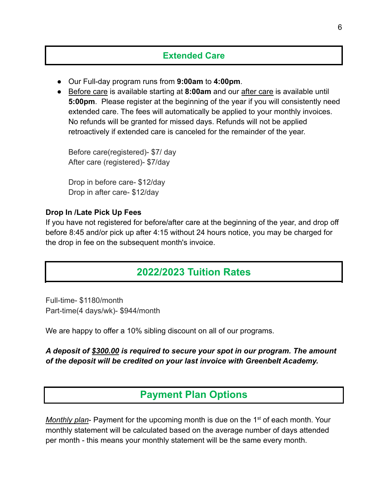### **Extended Care**

- Our Full-day program runs from **9:00am** to **4:00pm**.
- Before care is available starting at **8:00am** and our after care is available until **5:00pm**. Please register at the beginning of the year if you will consistently need extended care. The fees will automatically be applied to your monthly invoices. No refunds will be granted for missed days. Refunds will not be applied retroactively if extended care is canceled for the remainder of the year.

Before care(registered)- \$7/ day After care (registered)- \$7/day

Drop in before care- \$12/day Drop in after care- \$12/day

### **Drop In /Late Pick Up Fees**

If you have not registered for before/after care at the beginning of the year, and drop off before 8:45 and/or pick up after 4:15 without 24 hours notice, you may be charged for the drop in fee on the subsequent month's invoice.

## **2022/2023 Tuition Rates**

Full-time- \$1180/month Part-time(4 days/wk)- \$944/month

We are happy to offer a 10% sibling discount on all of our programs.

*A deposit of \$300.00 is required to secure your spot in our program. The amount of the deposit will be credited on your last invoice with Greenbelt Academy.*

# **Payment Plan Options**

*Monthly plan*- Payment for the upcoming month is due on the 1<sup>st</sup> of each month. Your monthly statement will be calculated based on the average number of days attended per month - this means your monthly statement will be the same every month.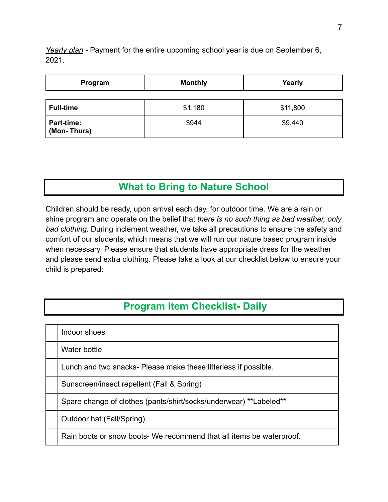*Yearly plan -* Payment for the entire upcoming school year is due on September 6, 2021.

| Program                   | <b>Monthly</b> | Yearly   |  |
|---------------------------|----------------|----------|--|
|                           |                |          |  |
| <b>Full-time</b>          | \$1,180        | \$11,800 |  |
| Part-time:<br>(Mon-Thurs) | \$944          | \$9,440  |  |

# **What to Bring to Nature School**

Children should be ready, upon arrival each day, for outdoor time. We are a rain or shine program and operate on the belief that *there is no such thing as bad weather, only bad clothing*. During inclement weather, we take all precautions to ensure the safety and comfort of our students, which means that we will run our nature based program inside when necessary. Please ensure that students have appropriate dress for the weather and please send extra clothing. Please take a look at our checklist below to ensure your child is prepared:

# **Program Item Checklist- Daily**

| Indoor shoes                                                         |
|----------------------------------------------------------------------|
| Water bottle                                                         |
| Lunch and two snacks- Please make these litterless if possible.      |
| Sunscreen/insect repellent (Fall & Spring)                           |
| Spare change of clothes (pants/shirt/socks/underwear) **Labeled**    |
| Outdoor hat (Fall/Spring)                                            |
| Rain boots or snow boots- We recommend that all items be waterproof. |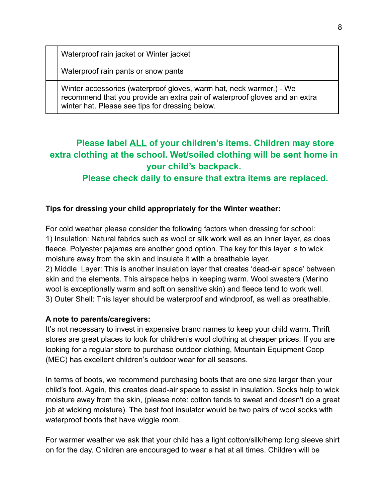Waterproof rain jacket or Winter jacket

Waterproof rain pants or snow pants

Winter accessories (waterproof gloves, warm hat, neck warmer,) - We recommend that you provide an extra pair of waterproof gloves and an extra winter hat. Please see tips for dressing below.

## **Please label ALL of your children's items. Children may store extra clothing at the school. Wet/soiled clothing will be sent home in your child's backpack.**

**Please check daily to ensure that extra items are replaced.**

### **Tips for dressing your child appropriately for the Winter weather:**

For cold weather please consider the following factors when dressing for school: 1) Insulation: Natural fabrics such as wool or silk work well as an inner layer, as does fleece. Polyester pajamas are another good option. The key for this layer is to wick moisture away from the skin and insulate it with a breathable layer. 2) Middle Layer: This is another insulation layer that creates 'dead-air space' between skin and the elements. This airspace helps in keeping warm. Wool sweaters (Merino wool is exceptionally warm and soft on sensitive skin) and fleece tend to work well. 3) Outer Shell: This layer should be waterproof and windproof, as well as breathable.

### **A note to parents/caregivers:**

It's not necessary to invest in expensive brand names to keep your child warm. Thrift stores are great places to look for children's wool clothing at cheaper prices. If you are looking for a regular store to purchase outdoor clothing, Mountain Equipment Coop (MEC) has excellent children's outdoor wear for all seasons.

In terms of boots, we recommend purchasing boots that are one size larger than your child's foot. Again, this creates dead-air space to assist in insulation. Socks help to wick moisture away from the skin, (please note: cotton tends to sweat and doesn't do a great job at wicking moisture). The best foot insulator would be two pairs of wool socks with waterproof boots that have wiggle room.

For warmer weather we ask that your child has a light cotton/silk/hemp long sleeve shirt on for the day. Children are encouraged to wear a hat at all times. Children will be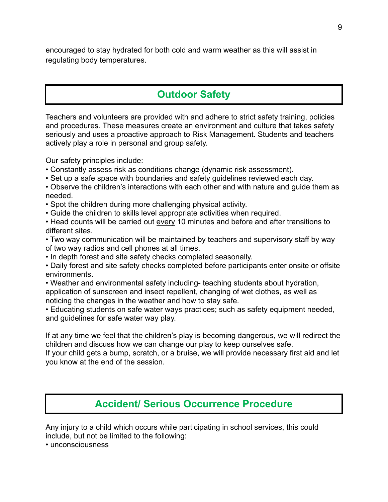encouraged to stay hydrated for both cold and warm weather as this will assist in regulating body temperatures.

# **Outdoor Safety**

Teachers and volunteers are provided with and adhere to strict safety training, policies and procedures. These measures create an environment and culture that takes safety seriously and uses a proactive approach to Risk Management. Students and teachers actively play a role in personal and group safety.

Our safety principles include:

- Constantly assess risk as conditions change (dynamic risk assessment).
- Set up a safe space with boundaries and safety guidelines reviewed each day.
- Observe the children's interactions with each other and with nature and guide them as needed.
- Spot the children during more challenging physical activity.
- Guide the children to skills level appropriate activities when required.
- Head counts will be carried out every 10 minutes and before and after transitions to different sites.

• Two way communication will be maintained by teachers and supervisory staff by way of two way radios and cell phones at all times.

• In depth forest and site safety checks completed seasonally.

• Daily forest and site safety checks completed before participants enter onsite or offsite environments.

• Weather and environmental safety including- teaching students about hydration, application of sunscreen and insect repellent, changing of wet clothes, as well as noticing the changes in the weather and how to stay safe.

• Educating students on safe water ways practices; such as safety equipment needed, and guidelines for safe water way play.

If at any time we feel that the children's play is becoming dangerous, we will redirect the children and discuss how we can change our play to keep ourselves safe.

If your child gets a bump, scratch, or a bruise, we will provide necessary first aid and let you know at the end of the session.

# **Accident/ Serious Occurrence Procedure**

Any injury to a child which occurs while participating in school services, this could include, but not be limited to the following:

• unconsciousness